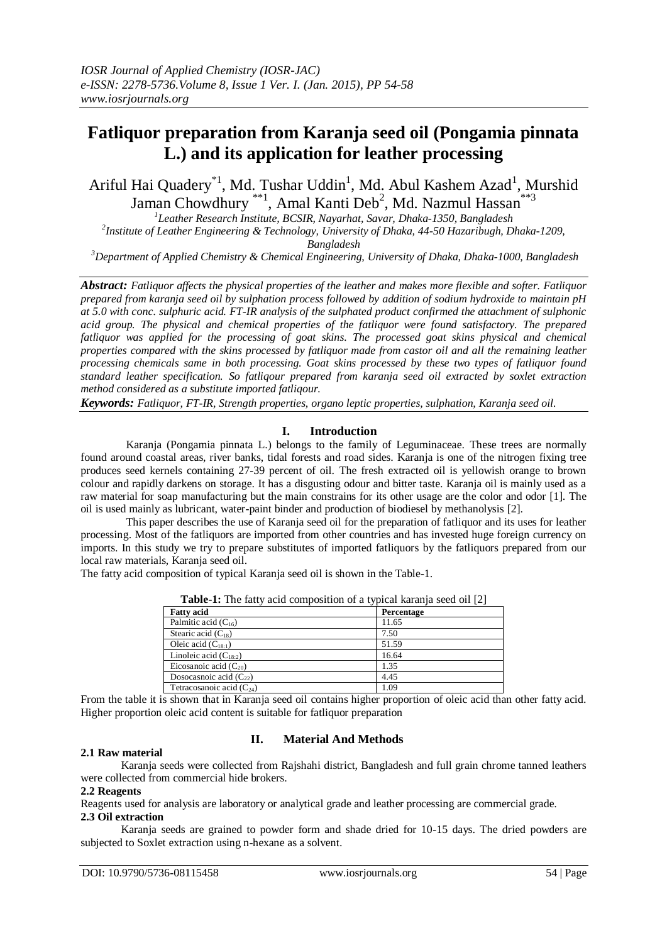# **Fatliquor preparation from Karanja seed oil (Pongamia pinnata L.) and its application for leather processing**

Ariful Hai Quadery<sup>\*1</sup>, Md. Tushar Uddin<sup>1</sup>, Md. Abul Kashem Azad<sup>1</sup>, Murshid Jaman Chowdhury<sup>\*\*1</sup>, Amal Kanti Deb<sup>2</sup>, Md. Nazmul Hassan<sup>\*\*3</sup>

*1 Leather Research Institute, BCSIR, Nayarhat, Savar, Dhaka-1350, Bangladesh 2 Institute of Leather Engineering & Technology, University of Dhaka, 44-50 Hazaribugh, Dhaka-1209,*

*Bangladesh*

*<sup>3</sup>Department of Applied Chemistry & Chemical Engineering, University of Dhaka, Dhaka-1000, Bangladesh*

*Abstract: Fatliquor affects the physical properties of the leather and makes more flexible and softer. Fatliquor prepared from karanja seed oil by sulphation process followed by addition of sodium hydroxide to maintain pH at 5.0 with conc. sulphuric acid. FT-IR analysis of the sulphated product confirmed the attachment of sulphonic acid group. The physical and chemical properties of the fatliquor were found satisfactory. The prepared fatliquor was applied for the processing of goat skins. The processed goat skins physical and chemical properties compared with the skins processed by fatliquor made from castor oil and all the remaining leather processing chemicals same in both processing. Goat skins processed by these two types of fatliquor found standard leather specification. So fatliqour prepared from karanja seed oil extracted by soxlet extraction method considered as a substitute imported fatliqour.* 

*Keywords: Fatliquor, FT-IR, Strength properties, organo leptic properties, sulphation, Karanja seed oil.*

## **I. Introduction**

Karanja (Pongamia pinnata L.) belongs to the family of Leguminaceae. These trees are normally found around coastal areas, river banks, tidal forests and road sides. Karanja is one of the nitrogen fixing tree produces seed kernels containing 27-39 percent of oil. The fresh extracted oil is yellowish orange to brown colour and rapidly darkens on storage. It has a disgusting odour and bitter taste. Karanja oil is mainly used as a raw material for soap manufacturing but the main constrains for its other usage are the color and odor [1]. The oil is used mainly as lubricant, water-paint binder and production of biodiesel by methanolysis [2].

This paper describes the use of Karanja seed oil for the preparation of fatliquor and its uses for leather processing. Most of the fatliquors are imported from other countries and has invested huge foreign currency on imports. In this study we try to prepare substitutes of imported fatliquors by the fatliquors prepared from our local raw materials, Karanja seed oil.

The fatty acid composition of typical Karanja seed oil is shown in the Table-1.

| <b>Those</b> If the later acta composition of a express natural section $ P $ |            |  |
|-------------------------------------------------------------------------------|------------|--|
| <b>Fatty acid</b>                                                             | Percentage |  |
| Palmitic acid $(C_{16})$                                                      | 11.65      |  |
| Stearic acid $(C_{18})$                                                       | 7.50       |  |
| Oleic acid $(C_{18:1})$                                                       | 51.59      |  |
| Linoleic acid $(C_{18:2})$                                                    | 16.64      |  |
| Eicosanoic acid $(C_{20})$                                                    | 1.35       |  |
| Dosocasnoic acid $(C_{22})$                                                   | 4.45       |  |
| Tetracosanoic acid $(C_{24})$                                                 | 1.09       |  |

**Table-1:** The fatty acid composition of a typical karanja seed oil [2]

From the table it is shown that in Karanja seed oil contains higher proportion of oleic acid than other fatty acid. Higher proportion oleic acid content is suitable for fatliquor preparation

# **II. Material And Methods**

#### **2.1 Raw material**

Karanja seeds were collected from Rajshahi district, Bangladesh and full grain chrome tanned leathers were collected from commercial hide brokers.

#### **2.2 Reagents**

Reagents used for analysis are laboratory or analytical grade and leather processing are commercial grade.

# **2.3 Oil extraction**

Karanja seeds are grained to powder form and shade dried for 10-15 days. The dried powders are subjected to Soxlet extraction using n-hexane as a solvent.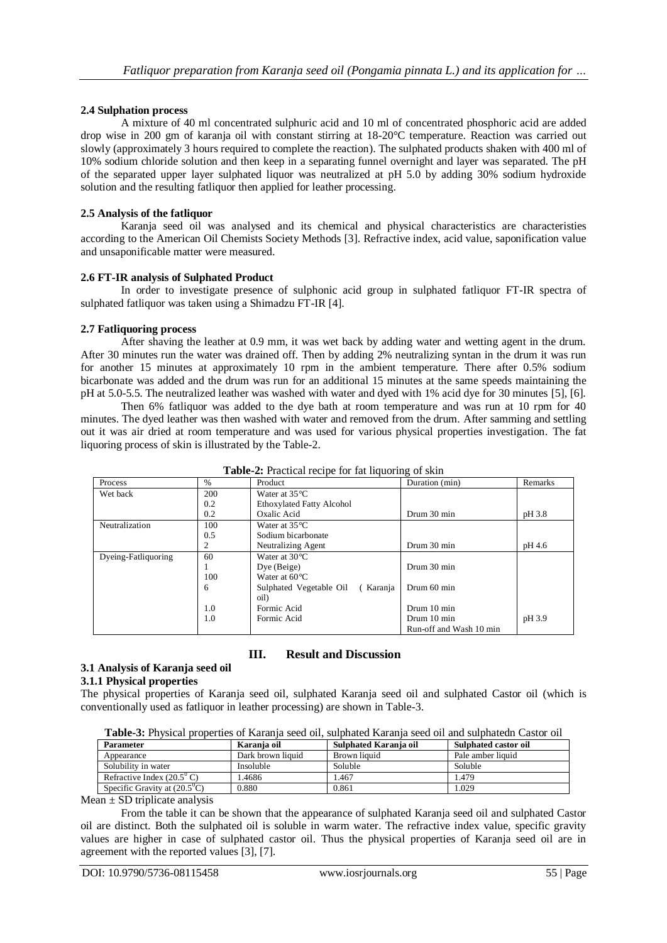## **2.4 Sulphation process**

A mixture of 40 ml concentrated sulphuric acid and 10 ml of concentrated phosphoric acid are added drop wise in 200 gm of karanja oil with constant stirring at 18-20°C temperature. Reaction was carried out slowly (approximately 3 hours required to complete the reaction). The sulphated products shaken with 400 ml of 10% sodium chloride solution and then keep in a separating funnel overnight and layer was separated. The pH of the separated upper layer sulphated liquor was neutralized at pH 5.0 by adding 30% sodium hydroxide solution and the resulting fatliquor then applied for leather processing.

## **2.5 Analysis of the fatliquor**

Karanja seed oil was analysed and its chemical and physical characteristics are characteristies according to the American Oil Chemists Society Methods [3]. Refractive index, acid value, saponification value and unsaponificable matter were measured.

## **2.6 FT-IR analysis of Sulphated Product**

In order to investigate presence of sulphonic acid group in sulphated fatliquor FT-IR spectra of sulphated fatliquor was taken using a Shimadzu FT-IR [4].

## **2.7 Fatliquoring process**

After shaving the leather at 0.9 mm, it was wet back by adding water and wetting agent in the drum. After 30 minutes run the water was drained off. Then by adding 2% neutralizing syntan in the drum it was run for another 15 minutes at approximately 10 rpm in the ambient temperature. There after 0.5% sodium bicarbonate was added and the drum was run for an additional 15 minutes at the same speeds maintaining the pH at 5.0-5.5. The neutralized leather was washed with water and dyed with 1% acid dye for 30 minutes [5], [6].

Then 6% fatliquor was added to the dye bath at room temperature and was run at 10 rpm for 40 minutes. The dyed leather was then washed with water and removed from the drum. After samming and settling out it was air dried at room temperature and was used for various physical properties investigation. The fat liquoring process of skin is illustrated by the Table-2.

| Process             | $\frac{0}{0}$ | Product                             | Duration (min)          | Remarks |
|---------------------|---------------|-------------------------------------|-------------------------|---------|
| Wet back            | 200           | Water at $35^{\circ}$ C             |                         |         |
|                     | 0.2           | <b>Ethoxylated Fatty Alcohol</b>    |                         |         |
|                     | 0.2           | Oxalic Acid                         | Drum 30 min             | pH 3.8  |
| Neutralization      | 100           | Water at $35^{\circ}$ C             |                         |         |
|                     | 0.5           | Sodium bicarbonate                  |                         |         |
|                     |               | Neutralizing Agent                  | Drum 30 min             | pH 4.6  |
| Dyeing-Fatliquoring | 60            | Water at $30^{\circ}$ C             |                         |         |
|                     |               | Dye (Beige)                         | Drum 30 min             |         |
|                     | 100           | Water at $60^{\circ}$ C             |                         |         |
|                     | 6             | Sulphated Vegetable Oil<br>(Karanja | Drum 60 min             |         |
|                     |               | oil)                                |                         |         |
|                     | 1.0           | Formic Acid                         | Drum 10 min             |         |
|                     | 1.0           | Formic Acid                         | Drum 10 min             | pH 3.9  |
|                     |               |                                     | Run-off and Wash 10 min |         |

|  | <b>Table-2:</b> Practical recipe for fat liquoring of skin |  |  |  |  |
|--|------------------------------------------------------------|--|--|--|--|
|--|------------------------------------------------------------|--|--|--|--|

## **III. Result and Discussion**

#### **3.1 Analysis of Karanja seed oil**

#### **3.1.1 Physical properties**

The physical properties of Karanja seed oil, sulphated Karanja seed oil and sulphated Castor oil (which is conventionally used as fatliquor in leather processing) are shown in Table-3.

| <b>Parameter</b>                           | Karania oil       | Sulphated Karania oil | Sulphated castor oil |
|--------------------------------------------|-------------------|-----------------------|----------------------|
| Appearance                                 | Dark brown liquid | Brown liquid          | Pale amber liquid    |
| Solubility in water                        | Insoluble         | Soluble               | Soluble              |
| Refractive Index $(20.5^{\circ} \text{C})$ | .4686             | .467                  | 1.479                |
| Specific Gravity at $(20.5^{\circ}C)$      | 0.880             | 0.861                 | 1.029                |

 $Mean \pm SD$  triplicate analysis

From the table it can be shown that the appearance of sulphated Karanja seed oil and sulphated Castor oil are distinct. Both the sulphated oil is soluble in warm water. The refractive index value, specific gravity values are higher in case of sulphated castor oil. Thus the physical properties of Karanja seed oil are in agreement with the reported values [3], [7].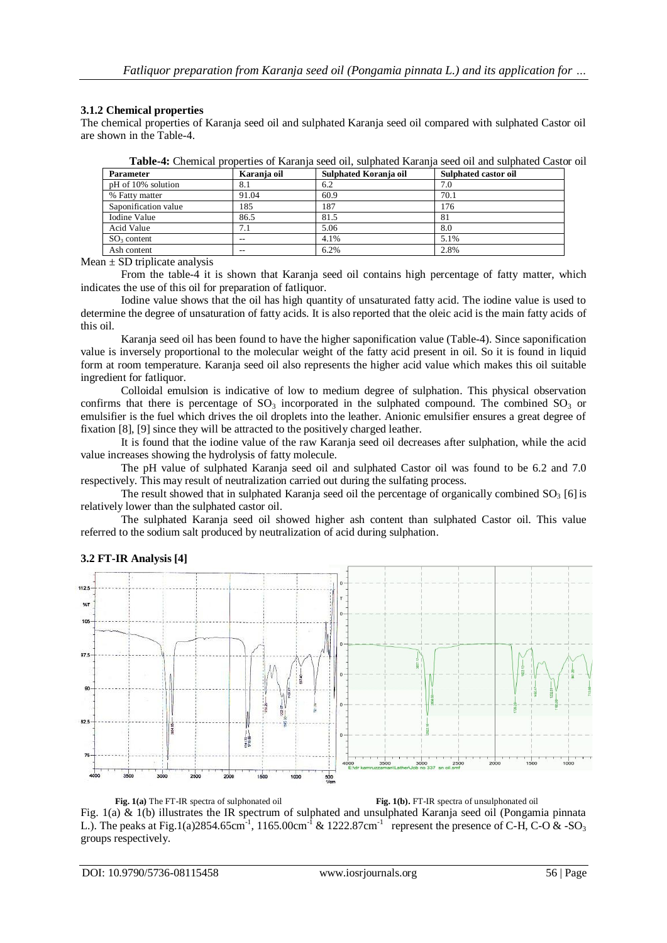## **3.1.2 Chemical properties**

The chemical properties of Karanja seed oil and sulphated Karanja seed oil compared with sulphated Castor oil are shown in the Table-4.

| <b>Parameter</b>     | Karanja oil | Sulphated Koranja oil | Sulphated castor oil |
|----------------------|-------------|-----------------------|----------------------|
| pH of 10% solution   | 8.1         | 6.2                   | 7.0                  |
| % Fatty matter       | 91.04       | 60.9                  | 70.1                 |
| Saponification value | 185         | 187                   | 176                  |
| Iodine Value         | 86.5        | 81.5                  | 81                   |
| Acid Value           | 7.1         | 5.06                  | 8.0                  |
| $SO3$ content        | --          | 4.1%                  | 5.1%                 |
| Ash content          | $- -$       | 6.2%                  | 2.8%                 |

**Table-4:** Chemical properties of Karanja seed oil, sulphated Karanja seed oil and sulphated Castor oil

Mean  $\pm$  SD triplicate analysis

From the table-4 it is shown that Karanja seed oil contains high percentage of fatty matter, which indicates the use of this oil for preparation of fatliquor.

Iodine value shows that the oil has high quantity of unsaturated fatty acid. The iodine value is used to determine the degree of unsaturation of fatty acids. It is also reported that the oleic acid is the main fatty acids of this oil.

Karanja seed oil has been found to have the higher saponification value (Table-4). Since saponification value is inversely proportional to the molecular weight of the fatty acid present in oil. So it is found in liquid form at room temperature. Karanja seed oil also represents the higher acid value which makes this oil suitable ingredient for fatliquor.

Colloidal emulsion is indicative of low to medium degree of sulphation. This physical observation confirms that there is percentage of  $SO_3$  incorporated in the sulphated compound. The combined  $SO_3$  or emulsifier is the fuel which drives the oil droplets into the leather. Anionic emulsifier ensures a great degree of fixation [8], [9] since they will be attracted to the positively charged leather.

It is found that the iodine value of the raw Karanja seed oil decreases after sulphation, while the acid value increases showing the hydrolysis of fatty molecule.

The pH value of sulphated Karanja seed oil and sulphated Castor oil was found to be 6.2 and 7.0 respectively. This may result of neutralization carried out during the sulfating process.

The result showed that in sulphated Karanja seed oil the percentage of organically combined  $SO<sub>3</sub>$  [6] is relatively lower than the sulphated castor oil.

The sulphated Karanja seed oil showed higher ash content than sulphated Castor oil. This value referred to the sodium salt produced by neutralization of acid during sulphation.



# **3.2 FT-IR Analysis [4]**

**Fig. 1(a)** The FT-IR spectra of sulphonated oil **Fig. 1(b).** FT-IR spectra of unsulphonated oil Fig. 1(a) & 1(b) illustrates the IR spectrum of sulphated and unsulphated Karanja seed oil (Pongamia pinnata L.). The peaks at Fig.1(a)2854.65cm<sup>-1</sup>, 1165.00cm<sup>-1</sup> & 1222.87cm<sup>-1</sup> represent the presence of C-H, C-O & -SO<sub>3</sub> groups respectively.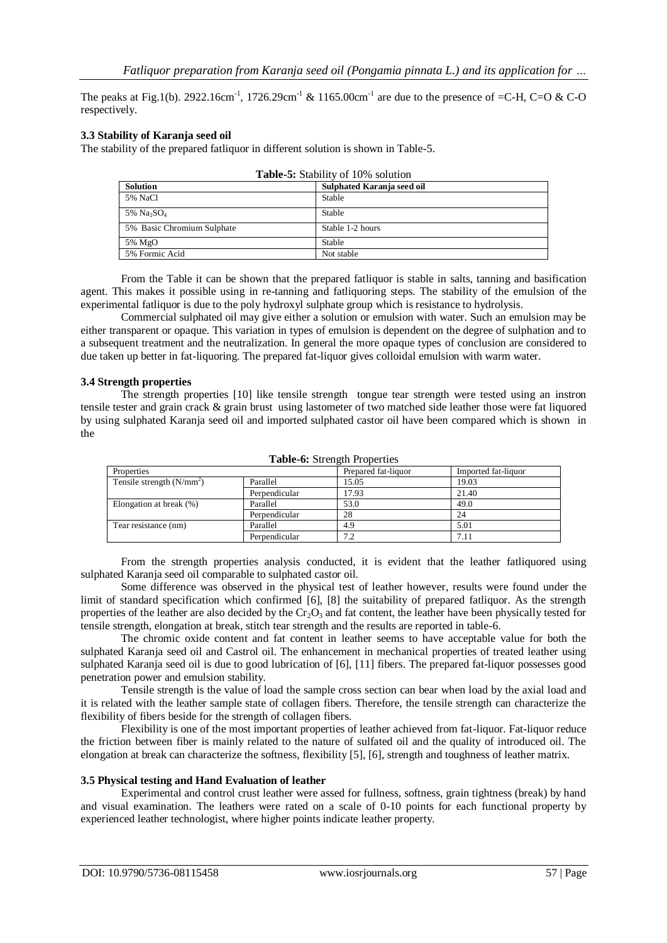The peaks at Fig.1(b). 2922.16cm<sup>-1</sup>, 1726.29cm<sup>-1</sup> & 1165.00cm<sup>-1</sup> are due to the presence of =C-H, C=O & C-O respectively.

## **3.3 Stability of Karanja seed oil**

The stability of the prepared fatliquor in different solution is shown in Table-5.

| <b>rable-5:</b> Stability of 10% solution |                            |  |  |
|-------------------------------------------|----------------------------|--|--|
| <b>Solution</b>                           | Sulphated Karanja seed oil |  |  |
| 5% NaCl                                   | <b>Stable</b>              |  |  |
| 5% Na <sub>2</sub> SO <sub>4</sub>        | <b>Stable</b>              |  |  |
| 5% Basic Chromium Sulphate                | Stable 1-2 hours           |  |  |
| 5% MgO                                    | Stable                     |  |  |
| 5% Formic Acid                            | Not stable                 |  |  |

**Table-5:** Stability of 10% solution

From the Table it can be shown that the prepared fatliquor is stable in salts, tanning and basification agent. This makes it possible using in re-tanning and fatliquoring steps. The stability of the emulsion of the experimental fatliquor is due to the poly hydroxyl sulphate group which is resistance to hydrolysis.

Commercial sulphated oil may give either a solution or emulsion with water. Such an emulsion may be either transparent or opaque. This variation in types of emulsion is dependent on the degree of sulphation and to a subsequent treatment and the neutralization. In general the more opaque types of conclusion are considered to due taken up better in fat-liquoring. The prepared fat-liquor gives colloidal emulsion with warm water.

#### **3.4 Strength properties**

The strength properties [10] like tensile strength tongue tear strength were tested using an instron tensile tester and grain crack & grain brust using lastometer of two matched side leather those were fat liquored by using sulphated Karanja seed oil and imported sulphated castor oil have been compared which is shown in the

| <b>rapic-v.</b> buttigut 110 perutis |               |                     |                     |  |
|--------------------------------------|---------------|---------------------|---------------------|--|
| Properties                           |               | Prepared fat-liquor | Imported fat-liquor |  |
| Tensile strength $(N/mm2)$           | Parallel      | 15.05               | 19.03               |  |
|                                      | Perpendicular | 17.93               | 21.40               |  |
| Elongation at break (%)              | Parallel      | 53.0                | 49.0                |  |
|                                      | Perpendicular | 28                  | 24                  |  |
| Tear resistance (nm)                 | Parallel      | 4.9                 | 5.01                |  |
|                                      | Perpendicular | 7.2                 | 7.11                |  |

## **Table-6:** Strength Properties

From the strength properties analysis conducted, it is evident that the leather fatliquored using sulphated Karanja seed oil comparable to sulphated castor oil.

Some difference was observed in the physical test of leather however, results were found under the limit of standard specification which confirmed [6], [8] the suitability of prepared fatliquor. As the strength properties of the leather are also decided by the  $Cr_2O_3$  and fat content, the leather have been physically tested for tensile strength, elongation at break, stitch tear strength and the results are reported in table-6.

The chromic oxide content and fat content in leather seems to have acceptable value for both the sulphated Karanja seed oil and Castrol oil. The enhancement in mechanical properties of treated leather using sulphated Karanja seed oil is due to good lubrication of [6], [11] fibers. The prepared fat-liquor possesses good penetration power and emulsion stability.

Tensile strength is the value of load the sample cross section can bear when load by the axial load and it is related with the leather sample state of collagen fibers. Therefore, the tensile strength can characterize the flexibility of fibers beside for the strength of collagen fibers.

Flexibility is one of the most important properties of leather achieved from fat-liquor. Fat-liquor reduce the friction between fiber is mainly related to the nature of sulfated oil and the quality of introduced oil. The elongation at break can characterize the softness, flexibility [5], [6], strength and toughness of leather matrix.

#### **3.5 Physical testing and Hand Evaluation of leather**

Experimental and control crust leather were assed for fullness, softness, grain tightness (break) by hand and visual examination. The leathers were rated on a scale of 0-10 points for each functional property by experienced leather technologist, where higher points indicate leather property.